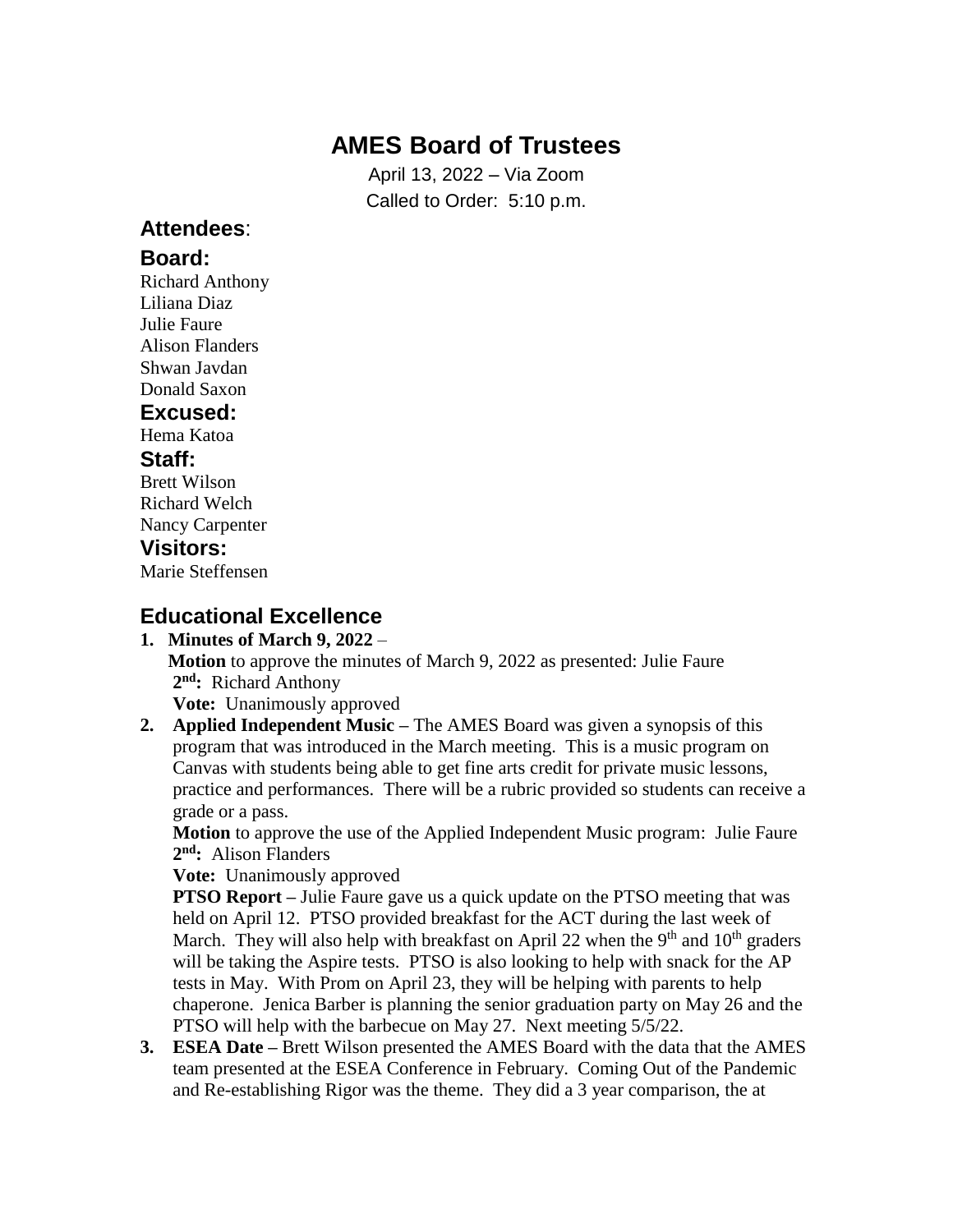# **AMES Board of Trustees**

April 13, 2022 – Via Zoom Called to Order: 5:10 p.m.

### **Attendees**:

#### **Board:**

Richard Anthony Liliana Diaz Julie Faure Alison Flanders Shwan Javdan Donald Saxon

#### **Excused:**

Hema Katoa

#### **Staff:**

Brett Wilson Richard Welch Nancy Carpenter

### **Visitors:**

Marie Steffensen

### **Educational Excellence**

#### **1. Minutes of March 9, 2022** –

 **Motion** to approve the minutes of March 9, 2022 as presented: Julie Faure **2 nd:** Richard Anthony

**Vote:** Unanimously approved

**2. Applied Independent Music –** The AMES Board was given a synopsis of this program that was introduced in the March meeting. This is a music program on Canvas with students being able to get fine arts credit for private music lessons, practice and performances. There will be a rubric provided so students can receive a grade or a pass.

 **Motion** to approve the use of the Applied Independent Music program: Julie Faure **2 nd:** Alison Flanders

**Vote:** Unanimously approved

**PTSO Report** – Julie Faure gave us a quick update on the PTSO meeting that was held on April 12. PTSO provided breakfast for the ACT during the last week of March. They will also help with breakfast on April 22 when the 9<sup>th</sup> and  $10<sup>th</sup>$  graders will be taking the Aspire tests. PTSO is also looking to help with snack for the AP tests in May. With Prom on April 23, they will be helping with parents to help chaperone. Jenica Barber is planning the senior graduation party on May 26 and the PTSO will help with the barbecue on May 27. Next meeting 5/5/22.

**3. ESEA Date –** Brett Wilson presented the AMES Board with the data that the AMES team presented at the ESEA Conference in February. Coming Out of the Pandemic and Re-establishing Rigor was the theme. They did a 3 year comparison, the at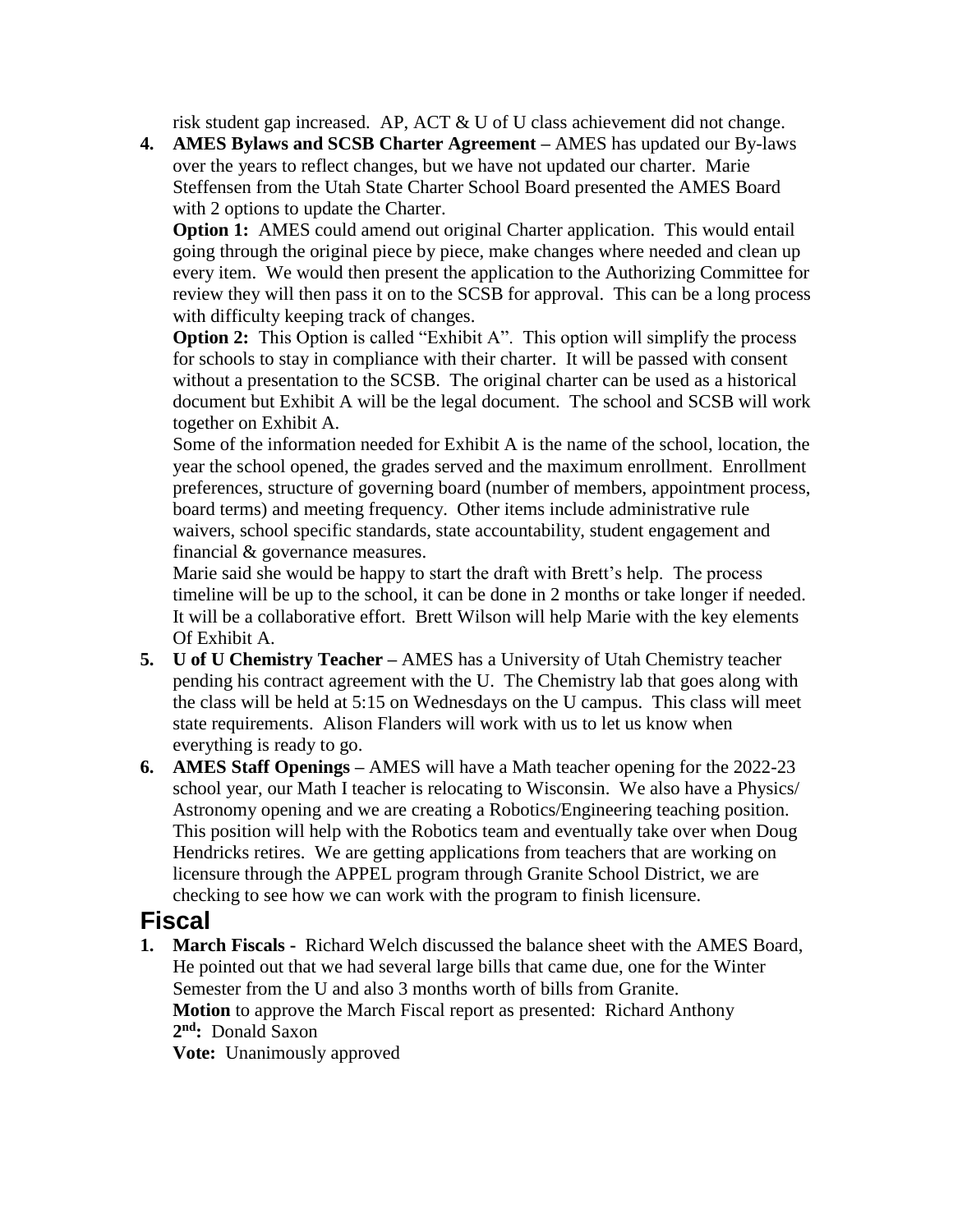risk student gap increased. AP, ACT & U of U class achievement did not change.

**4. AMES Bylaws and SCSB Charter Agreement –** AMES has updated our By-laws over the years to reflect changes, but we have not updated our charter. Marie Steffensen from the Utah State Charter School Board presented the AMES Board with 2 options to update the Charter.

**Option 1:** AMES could amend out original Charter application. This would entail going through the original piece by piece, make changes where needed and clean up every item. We would then present the application to the Authorizing Committee for review they will then pass it on to the SCSB for approval. This can be a long process with difficulty keeping track of changes.

**Option 2:** This Option is called "Exhibit A". This option will simplify the process for schools to stay in compliance with their charter. It will be passed with consent without a presentation to the SCSB. The original charter can be used as a historical document but Exhibit A will be the legal document. The school and SCSB will work together on Exhibit A.

 Some of the information needed for Exhibit A is the name of the school, location, the year the school opened, the grades served and the maximum enrollment. Enrollment preferences, structure of governing board (number of members, appointment process, board terms) and meeting frequency. Other items include administrative rule waivers, school specific standards, state accountability, student engagement and financial & governance measures.

 Marie said she would be happy to start the draft with Brett's help. The process timeline will be up to the school, it can be done in 2 months or take longer if needed. It will be a collaborative effort. Brett Wilson will help Marie with the key elements Of Exhibit A.

- **5. U of U Chemistry Teacher –** AMES has a University of Utah Chemistry teacher pending his contract agreement with the U. The Chemistry lab that goes along with the class will be held at 5:15 on Wednesdays on the U campus. This class will meet state requirements. Alison Flanders will work with us to let us know when everything is ready to go.
- **6. AMES Staff Openings –** AMES will have a Math teacher opening for the 2022-23 school year, our Math I teacher is relocating to Wisconsin. We also have a Physics/ Astronomy opening and we are creating a Robotics/Engineering teaching position. This position will help with the Robotics team and eventually take over when Doug Hendricks retires. We are getting applications from teachers that are working on licensure through the APPEL program through Granite School District, we are checking to see how we can work with the program to finish licensure.

### **Fiscal**

**1. March Fiscals -** Richard Welch discussed the balance sheet with the AMES Board, He pointed out that we had several large bills that came due, one for the Winter Semester from the U and also 3 months worth of bills from Granite. **Motion** to approve the March Fiscal report as presented: Richard Anthony **2 nd:** Donald Saxon

**Vote:** Unanimously approved